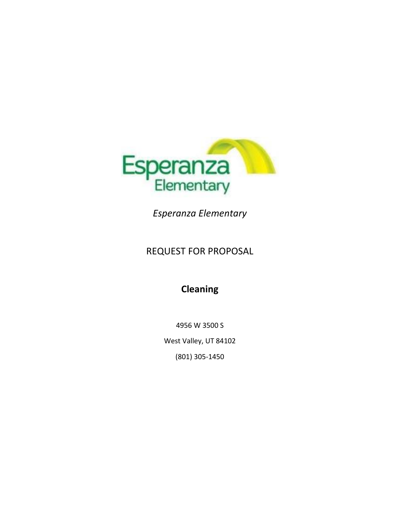

*Esperanza Elementary*

# REQUEST FOR PROPOSAL

# **Cleaning**

4956 W 3500 S West Valley, UT 84102 (801) 305-1450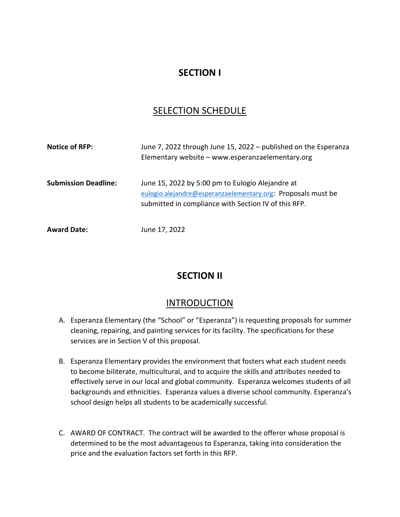# **SECTION I**

# SELECTION SCHEDULE

| <b>Notice of RFP:</b>       | June 7, 2022 through June 15, 2022 - published on the Esperanza<br>Elementary website - www.esperanzaelementary.org                                                      |  |  |
|-----------------------------|--------------------------------------------------------------------------------------------------------------------------------------------------------------------------|--|--|
| <b>Submission Deadline:</b> | June 15, 2022 by 5:00 pm to Eulogio Alejandre at<br>eulogio.alejandre@esperanzaelementary.org: Proposals must be<br>submitted in compliance with Section IV of this RFP. |  |  |
| <b>Award Date:</b>          | June 17, 2022                                                                                                                                                            |  |  |

# **SECTION II**

# INTRODUCTION

- A. Esperanza Elementary (the "School" or "Esperanza") is requesting proposals for summer cleaning, repairing, and painting services for its facility. The specifications for these services are in Section V of this proposal.
- B. Esperanza Elementary provides the environment that fosters what each student needs to become biliterate, multicultural, and to acquire the skills and attributes needed to effectively serve in our local and global community. Esperanza welcomes students of all backgrounds and ethnicities. Esperanza values a diverse school community. Esperanza's school design helps all students to be academically successful.
- C. AWARD OF CONTRACT. The contract will be awarded to the offeror whose proposal is determined to be the most advantageous to Esperanza, taking into consideration the price and the evaluation factors set forth in this RFP.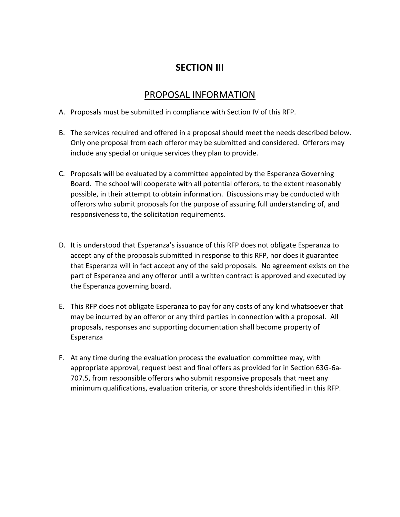# **SECTION III**

#### PROPOSAL INFORMATION

- A. Proposals must be submitted in compliance with Section IV of this RFP.
- B. The services required and offered in a proposal should meet the needs described below. Only one proposal from each offeror may be submitted and considered. Offerors may include any special or unique services they plan to provide.
- C. Proposals will be evaluated by a committee appointed by the Esperanza Governing Board. The school will cooperate with all potential offerors, to the extent reasonably possible, in their attempt to obtain information. Discussions may be conducted with offerors who submit proposals for the purpose of assuring full understanding of, and responsiveness to, the solicitation requirements.
- D. It is understood that Esperanza's issuance of this RFP does not obligate Esperanza to accept any of the proposals submitted in response to this RFP, nor does it guarantee that Esperanza will in fact accept any of the said proposals. No agreement exists on the part of Esperanza and any offeror until a written contract is approved and executed by the Esperanza governing board.
- E. This RFP does not obligate Esperanza to pay for any costs of any kind whatsoever that may be incurred by an offeror or any third parties in connection with a proposal. All proposals, responses and supporting documentation shall become property of Esperanza
- F. At any time during the evaluation process the evaluation committee may, with appropriate approval, request best and final offers as provided for in Section 63G-6a-707.5, from responsible offerors who submit responsive proposals that meet any minimum qualifications, evaluation criteria, or score thresholds identified in this RFP.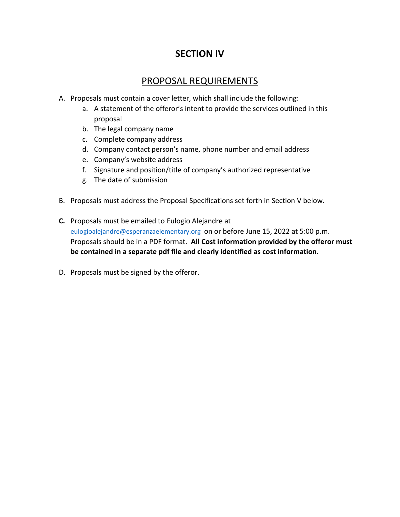# **SECTION IV**

### PROPOSAL REQUIREMENTS

- A. Proposals must contain a cover letter, which shall include the following:
	- a. A statement of the offeror's intent to provide the services outlined in this proposal
	- b. The legal company name
	- c. Complete company address
	- d. Company contact person's name, phone number and email address
	- e. Company's website address
	- f. Signature and position/title of company's authorized representative
	- g. The date of submission
- B. Proposals must address the Proposal Specifications set forth in Section V below.
- **C.** Proposals must be emailed to Eulogio Alejandre at [eulogioalejandre@esperanzaelementary.org](mailto:eulogioalejandre@esperanzaelementary.org) on or before June 15, 2022 at 5:00 p.m. Proposals should be in a PDF format. **All Cost information provided by the offeror must be contained in a separate pdf file and clearly identified as cost information.**
- D. Proposals must be signed by the offeror.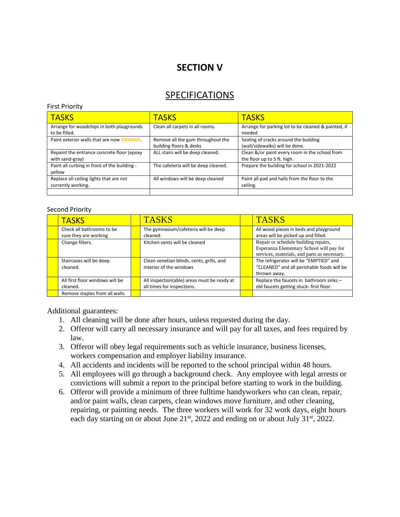# **SECTION V**

#### **SPECIFICATIONS**

#### First Priority

| <b>TASKS</b>                                                  | <b>TASKS</b>                                                 | <b>TASKS</b>                                                                  |  |
|---------------------------------------------------------------|--------------------------------------------------------------|-------------------------------------------------------------------------------|--|
| Arrange for woodchips in both playgrounds<br>to be filled.    | Clean all carpets in all rooms.                              | Arrange for parking lot to be cleaned & painted, if<br>needed                 |  |
| Paint exterior walls that are now <b>ORANGE</b> .             | Remove all the gum throughout the<br>building floors & desks | Sealing of cracks around the building<br>(wall/sidewalks) will be done.       |  |
| Repaint the entrance concrete floor (epoxy<br>with sand-gray) | ALL stairs will be deep cleaned.                             | Clean &/or paint every room in the school from<br>the floor up to 5 ft. high. |  |
| Paint all curbing in front of the building -<br>vellow        | The cafeteria will be deep cleaned.                          | Prepare the building for school in 2021-2022                                  |  |
| Replace all ceiling lights that are not<br>currently working. | All windows will be deep cleaned                             | Paint all pod and halls from the floor to the<br>ceiling.                     |  |

#### Second Priority

|  | <b>TASKS</b>                                       |  | <b>TASKS</b>                                                              |  | <b>TASKS</b>                                                                                                                     |  |  |  |
|--|----------------------------------------------------|--|---------------------------------------------------------------------------|--|----------------------------------------------------------------------------------------------------------------------------------|--|--|--|
|  | Check all bathrooms to be<br>sure they are working |  | The gymnasium/cafeteria will be deep<br>cleaned.                          |  | All wood pieces in beds and playground<br>areas will be picked up and filled.                                                    |  |  |  |
|  | Change filters.                                    |  | Kitchen vents will be cleaned                                             |  | Repair or schedule building repairs.<br>Esperanza Elementary School will pay for<br>services, materials, and parts as necessary. |  |  |  |
|  | Staircases will be deep<br>cleaned.                |  | Clean venetian blinds, cents, grills, and<br>interior of the windows      |  | The refrigerator will be "EMPTIED" and<br>"CLEANED" and all perishable foods will be<br>thrown away.                             |  |  |  |
|  | All first floor windows will be<br>cleaned.        |  | All inspection(able) areas must be ready at<br>all times for inspections. |  | Replace the faucets in bathroom sinks -<br>old faucets getting stuck-first floor.                                                |  |  |  |
|  | Remove staples from all walls.                     |  |                                                                           |  |                                                                                                                                  |  |  |  |

Additional guarantees:

- 1. All cleaning will be done after hours, unless requested during the day.
- 2. Offeror will carry all necessary insurance and will pay for all taxes, and fees required by law.
- 3. Offeror will obey legal requirements such as vehicle insurance, business licenses, workers compensation and employer liability insurance.
- 4. All accidents and incidents will be reported to the school principal within 48 hours.
- 5. All employees will go through a background check. Any employee with legal arrests or convictions will submit a report to the principal before starting to work in the building.
- 6. Offeror will provide a minimum of three fulltime handyworkers who can clean, repair, and/or paint walls, clean carpets, clean windows move furniture, and other cleaning, repairing, or painting needs. The three workers will work for 32 work days, eight hours each day starting on or about June  $21<sup>st</sup>$ , 2022 and ending on or about July 31<sup>st</sup>, 2022.